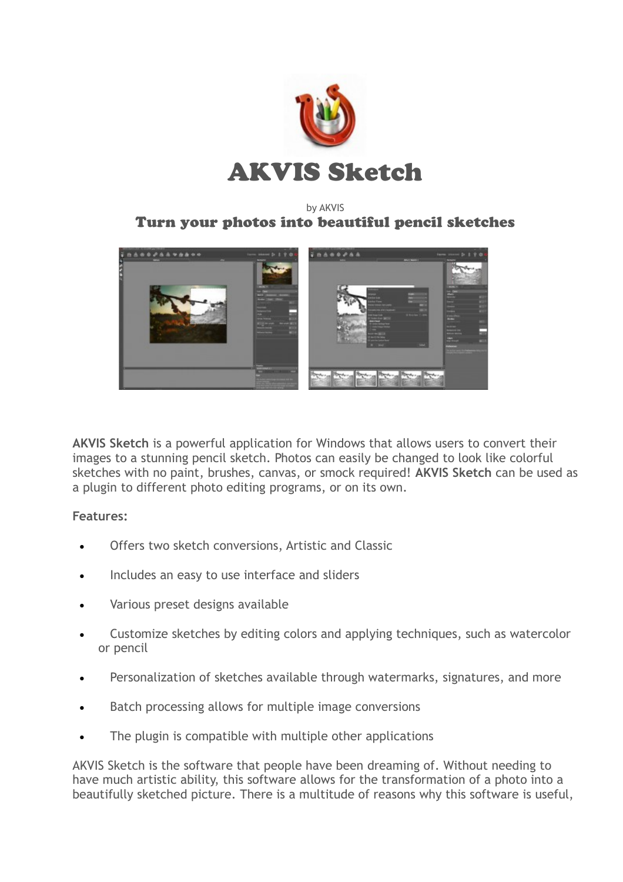

## by AKVIS Turn your photos into beautiful pencil sketches



**AKVIS Sketch** is a powerful application for Windows that allows users to convert their images to a stunning pencil sketch. Photos can easily be changed to look like colorful sketches with no paint, brushes, canvas, or smock required! **AKVIS Sketch** can be used as a plugin to different photo editing programs, or on its own.

## **Features:**

- Offers two sketch conversions, Artistic and Classic
- Includes an easy to use interface and sliders
- Various preset designs available
- Customize sketches by editing colors and applying techniques, such as watercolor or pencil
- Personalization of sketches available through watermarks, signatures, and more
- Batch processing allows for multiple image conversions
- The plugin is compatible with multiple other applications

AKVIS Sketch is the software that people have been dreaming of. Without needing to have much artistic ability, this software allows for the transformation of a photo into a beautifully sketched picture. There is a multitude of reasons why this software is useful,